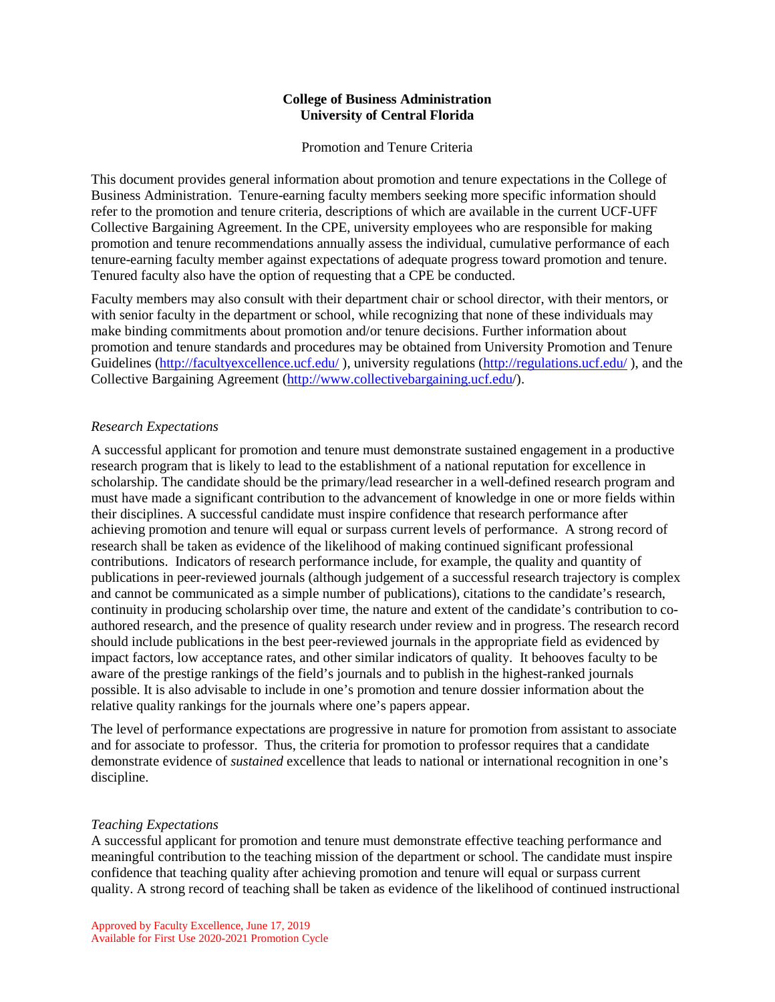## **College of Business Administration University of Central Florida**

Promotion and Tenure Criteria

This document provides general information about promotion and tenure expectations in the College of Business Administration. Tenure-earning faculty members seeking more specific information should refer to the promotion and tenure criteria, descriptions of which are available in the current UCF-UFF Collective Bargaining Agreement. In the CPE, university employees who are responsible for making promotion and tenure recommendations annually assess the individual, cumulative performance of each tenure-earning faculty member against expectations of adequate progress toward promotion and tenure. Tenured faculty also have the option of requesting that a CPE be conducted.

Faculty members may also consult with their department chair or school director, with their mentors, or with senior faculty in the department or school, while recognizing that none of these individuals may make binding commitments about promotion and/or tenure decisions. Further information about promotion and tenure standards and procedures may be obtained from University Promotion and Tenure Guidelines [\(http://facultyexcellence.ucf.edu/](http://facultyexcellence.ucf.edu/)), university regulations [\(http://regulations.ucf.edu/](http://regulations.ucf.edu/)), and the Collective Bargaining Agreement [\(http://www.collectivebargaining.ucf.edu/](http://www.collectivebargaining.ucf.edu/)).

## *Research Expectations*

A successful applicant for promotion and tenure must demonstrate sustained engagement in a productive research program that is likely to lead to the establishment of a national reputation for excellence in scholarship. The candidate should be the primary/lead researcher in a well-defined research program and must have made a significant contribution to the advancement of knowledge in one or more fields within their disciplines. A successful candidate must inspire confidence that research performance after achieving promotion and tenure will equal or surpass current levels of performance. A strong record of research shall be taken as evidence of the likelihood of making continued significant professional contributions. Indicators of research performance include, for example, the quality and quantity of publications in peer-reviewed journals (although judgement of a successful research trajectory is complex and cannot be communicated as a simple number of publications), citations to the candidate's research, continuity in producing scholarship over time, the nature and extent of the candidate's contribution to coauthored research, and the presence of quality research under review and in progress. The research record should include publications in the best peer-reviewed journals in the appropriate field as evidenced by impact factors, low acceptance rates, and other similar indicators of quality. It behooves faculty to be aware of the prestige rankings of the field's journals and to publish in the highest-ranked journals possible. It is also advisable to include in one's promotion and tenure dossier information about the relative quality rankings for the journals where one's papers appear.

The level of performance expectations are progressive in nature for promotion from assistant to associate and for associate to professor. Thus, the criteria for promotion to professor requires that a candidate demonstrate evidence of *sustained* excellence that leads to national or international recognition in one's discipline.

## *Teaching Expectations*

A successful applicant for promotion and tenure must demonstrate effective teaching performance and meaningful contribution to the teaching mission of the department or school. The candidate must inspire confidence that teaching quality after achieving promotion and tenure will equal or surpass current quality. A strong record of teaching shall be taken as evidence of the likelihood of continued instructional